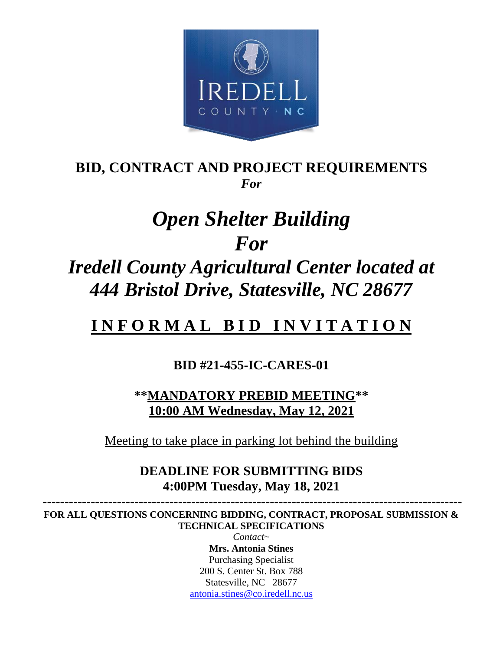

## **BID, CONTRACT AND PROJECT REQUIREMENTS** *For*

# *Open Shelter Building For*

## *Iredell County Agricultural Center located at 444 Bristol Drive, Statesville, NC 28677*

## **I N F O R M A L B I D I N V I T A T I O N**

## **BID #21-455-IC-CARES-01**

**\*\*MANDATORY PREBID MEETING\*\* 10:00 AM Wednesday, May 12, 2021**

Meeting to take place in parking lot behind the building

## **DEADLINE FOR SUBMITTING BIDS 4:00PM Tuesday, May 18, 2021**

 **------------------------------------------------------------------------------------------------ FOR ALL QUESTIONS CONCERNING BIDDING, CONTRACT, PROPOSAL SUBMISSION & TECHNICAL SPECIFICATIONS** 

> *Contact~* **Mrs. Antonia Stines** Purchasing Specialist 200 S. Center St. Box 788 Statesville, NC 28677 [antonia.stines@co.iredell.nc.us](mailto:antonia.stines@co.iredell.nc.us)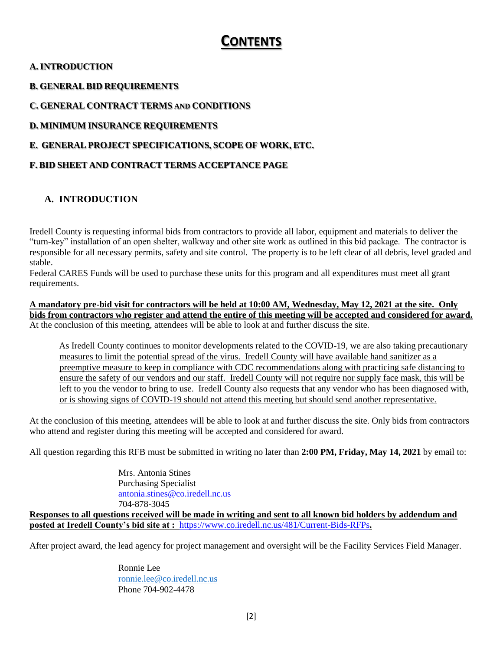## **CONTENTS**

#### **A. INTRODUCTION**

**B. GENERAL BID REQUIREMENTS**

**C. GENERAL CONTRACT TERMS AND CONDITIONS**

**D. MINIMUM INSURANCE REQUIREMENTS**

#### **E. GENERAL PROJECT SPECIFICATIONS, SCOPE OF WORK, ETC.**

#### **F. BID SHEET AND CONTRACT TERMS ACCEPTANCE PAGE**

#### **A. INTRODUCTION**

Iredell County is requesting informal bids from contractors to provide all labor, equipment and materials to deliver the "turn-key" installation of an open shelter, walkway and other site work as outlined in this bid package. The contractor is responsible for all necessary permits, safety and site control. The property is to be left clear of all debris, level graded and stable.

Federal CARES Funds will be used to purchase these units for this program and all expenditures must meet all grant requirements.

**A mandatory pre-bid visit for contractors will be held at 10:00 AM, Wednesday, May 12, 2021 at the site. Only bids from contractors who register and attend the entire of this meeting will be accepted and considered for award.**  At the conclusion of this meeting, attendees will be able to look at and further discuss the site.

As Iredell County continues to monitor developments related to the COVID-19, we are also taking precautionary measures to limit the potential spread of the virus. Iredell County will have available hand sanitizer as a preemptive measure to keep in compliance with CDC recommendations along with practicing safe distancing to ensure the safety of our vendors and our staff. Iredell County will not require nor supply face mask, this will be left to you the vendor to bring to use. Iredell County also requests that any vendor who has been diagnosed with, or is showing signs of COVID-19 should not attend this meeting but should send another representative.

At the conclusion of this meeting, attendees will be able to look at and further discuss the site. Only bids from contractors who attend and register during this meeting will be accepted and considered for award.

All question regarding this RFB must be submitted in writing no later than **2:00 PM, Friday, May 14, 2021** by email to:

Mrs. Antonia Stines Purchasing Specialist [antonia.stines@co.iredell.nc.us](mailto:antonia.stines@co.iredell.nc.us) 704-878-3045

**Responses to all questions received will be made in writing and sent to all known bid holders by addendum and posted at Iredell County's bid site at :** <https://www.co.iredell.nc.us/481/Current-Bids-RFPs>**.** 

After project award, the lead agency for project management and oversight will be the Facility Services Field Manager.

Ronnie Lee [ronnie.lee@co.iredell.nc.us](mailto:ronnie.lee@co.iredell.nc.us) Phone 704-902-4478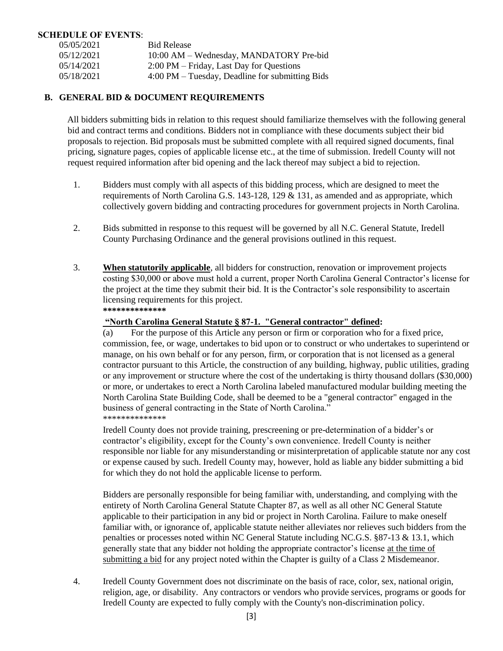#### **SCHEDULE OF EVENTS**:

| 05/05/2021 | <b>Bid Release</b>                              |
|------------|-------------------------------------------------|
| 05/12/2021 | 10:00 AM – Wednesday, MANDATORY Pre-bid         |
| 05/14/2021 | 2:00 PM – Friday, Last Day for Questions        |
| 05/18/2021 | 4:00 PM – Tuesday, Deadline for submitting Bids |

#### **B. GENERAL BID & DOCUMENT REQUIREMENTS**

All bidders submitting bids in relation to this request should familiarize themselves with the following general bid and contract terms and conditions. Bidders not in compliance with these documents subject their bid proposals to rejection. Bid proposals must be submitted complete with all required signed documents, final pricing, signature pages, copies of applicable license etc., at the time of submission. Iredell County will not request required information after bid opening and the lack thereof may subject a bid to rejection.

- 1. Bidders must comply with all aspects of this bidding process, which are designed to meet the requirements of North Carolina G.S. 143-128, 129 & 131, as amended and as appropriate, which collectively govern bidding and contracting procedures for government projects in North Carolina.
- 2. Bids submitted in response to this request will be governed by all N.C. General Statute, Iredell County Purchasing Ordinance and the general provisions outlined in this request.
- 3. **When statutorily applicable**, all bidders for construction, renovation or improvement projects costing \$30,000 or above must hold a current, proper North Carolina General Contractor's license for the project at the time they submit their bid. It is the Contractor's sole responsibility to ascertain licensing requirements for this project. **\*\*\*\*\*\*\*\*\*\*\*\*\*\***

#### **"North Carolina General Statute § 87-1. "General contractor" defined:**

(a) For the purpose of this Article any person or firm or corporation who for a fixed price, commission, fee, or wage, undertakes to bid upon or to construct or who undertakes to superintend or manage, on his own behalf or for any person, firm, or corporation that is not licensed as a general contractor pursuant to this Article, the construction of any building, highway, public utilities, grading or any improvement or structure where the cost of the undertaking is thirty thousand dollars (\$30,000) or more, or undertakes to erect a North Carolina labeled manufactured modular building meeting the North Carolina State Building Code, shall be deemed to be a "general contractor" engaged in the business of general contracting in the State of North Carolina." \*\*\*\*\*\*\*\*\*\*\*\*\*\*

Iredell County does not provide training, prescreening or pre-determination of a bidder's or contractor's eligibility, except for the County's own convenience. Iredell County is neither responsible nor liable for any misunderstanding or misinterpretation of applicable statute nor any cost or expense caused by such. Iredell County may, however, hold as liable any bidder submitting a bid for which they do not hold the applicable license to perform.

Bidders are personally responsible for being familiar with, understanding, and complying with the entirety of North Carolina General Statute Chapter 87, as well as all other NC General Statute applicable to their participation in any bid or project in North Carolina. Failure to make oneself familiar with, or ignorance of, applicable statute neither alleviates nor relieves such bidders from the penalties or processes noted within NC General Statute including NC.G.S. §87-13 & 13.1, which generally state that any bidder not holding the appropriate contractor's license at the time of submitting a bid for any project noted within the Chapter is guilty of a Class 2 Misdemeanor.

4. Iredell County Government does not discriminate on the basis of race, color, sex, national origin, religion, age, or disability. Any contractors or vendors who provide services, programs or goods for Iredell County are expected to fully comply with the County's non-discrimination policy.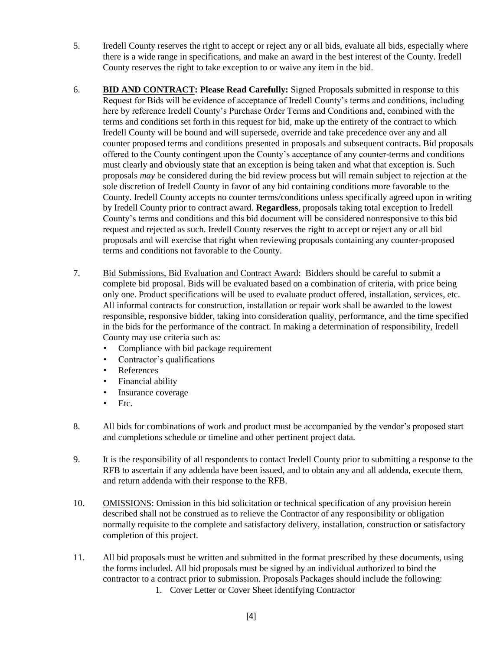- 5. Iredell County reserves the right to accept or reject any or all bids, evaluate all bids, especially where there is a wide range in specifications, and make an award in the best interest of the County. Iredell County reserves the right to take exception to or waive any item in the bid.
- 6. **BID AND CONTRACT: Please Read Carefully:** Signed Proposals submitted in response to this Request for Bids will be evidence of acceptance of Iredell County's terms and conditions, including here by reference Iredell County's Purchase Order Terms and Conditions and, combined with the terms and conditions set forth in this request for bid, make up the entirety of the contract to which Iredell County will be bound and will supersede, override and take precedence over any and all counter proposed terms and conditions presented in proposals and subsequent contracts. Bid proposals offered to the County contingent upon the County's acceptance of any counter-terms and conditions must clearly and obviously state that an exception is being taken and what that exception is. Such proposals *may* be considered during the bid review process but will remain subject to rejection at the sole discretion of Iredell County in favor of any bid containing conditions more favorable to the County. Iredell County accepts no counter terms/conditions unless specifically agreed upon in writing by Iredell County prior to contract award. **Regardless**, proposals taking total exception to Iredell County's terms and conditions and this bid document will be considered nonresponsive to this bid request and rejected as such. Iredell County reserves the right to accept or reject any or all bid proposals and will exercise that right when reviewing proposals containing any counter-proposed terms and conditions not favorable to the County.
- 7. Bid Submissions, Bid Evaluation and Contract Award: Bidders should be careful to submit a complete bid proposal. Bids will be evaluated based on a combination of criteria, with price being only one. Product specifications will be used to evaluate product offered, installation, services, etc. All informal contracts for construction, installation or repair work shall be awarded to the lowest responsible, responsive bidder, taking into consideration quality, performance, and the time specified in the bids for the performance of the contract. In making a determination of responsibility, Iredell County may use criteria such as:
	- Compliance with bid package requirement
	- Contractor's qualifications
	- References
	- Financial ability
	- Insurance coverage
	- Etc.
- 8. All bids for combinations of work and product must be accompanied by the vendor's proposed start and completions schedule or timeline and other pertinent project data.
- 9. It is the responsibility of all respondents to contact Iredell County prior to submitting a response to the RFB to ascertain if any addenda have been issued, and to obtain any and all addenda, execute them, and return addenda with their response to the RFB.
- 10. OMISSIONS: Omission in this bid solicitation or technical specification of any provision herein described shall not be construed as to relieve the Contractor of any responsibility or obligation normally requisite to the complete and satisfactory delivery, installation, construction or satisfactory completion of this project.
- 11. All bid proposals must be written and submitted in the format prescribed by these documents, using the forms included. All bid proposals must be signed by an individual authorized to bind the contractor to a contract prior to submission. Proposals Packages should include the following:
	- 1. Cover Letter or Cover Sheet identifying Contractor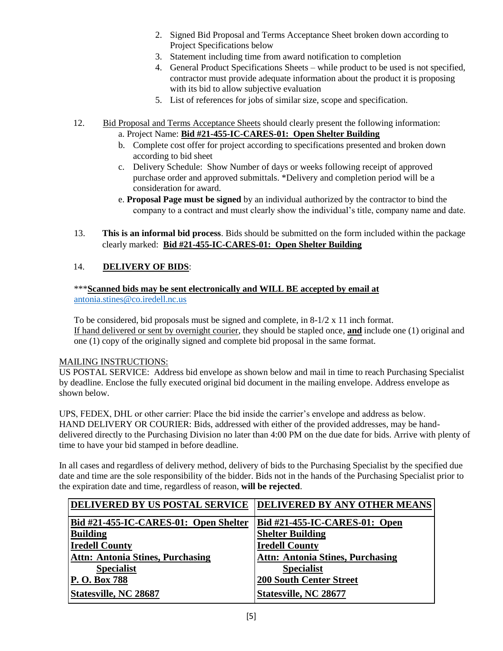- 2. Signed Bid Proposal and Terms Acceptance Sheet broken down according to Project Specifications below
- 3. Statement including time from award notification to completion
- 4. General Product Specifications Sheets while product to be used is not specified, contractor must provide adequate information about the product it is proposing with its bid to allow subjective evaluation
- 5. List of references for jobs of similar size, scope and specification.
- 12. Bid Proposal and Terms Acceptance Sheets should clearly present the following information: a. Project Name: **Bid #21-455-IC-CARES-01: Open Shelter Building**
	- b. Complete cost offer for project according to specifications presented and broken down according to bid sheet
	- c. Delivery Schedule: Show Number of days or weeks following receipt of approved purchase order and approved submittals. \*Delivery and completion period will be a consideration for award.
	- e. **Proposal Page must be signed** by an individual authorized by the contractor to bind the company to a contract and must clearly show the individual's title, company name and date.
- 13. **This is an informal bid process**. Bids should be submitted on the form included within the package clearly marked: **Bid #21-455-IC-CARES-01: Open Shelter Building**

#### 14. **DELIVERY OF BIDS**:

#### \*\*\***Scanned bids may be sent electronically and WILL BE accepted by email at** [antonia.stines@co.iredell.nc.us](mailto:antonia.stines@co.iredell.nc.us)

To be considered, bid proposals must be signed and complete, in  $8-1/2 \times 11$  inch format. If hand delivered or sent by overnight courier, they should be stapled once, **and** include one (1) original and one (1) copy of the originally signed and complete bid proposal in the same format.

#### MAILING INSTRUCTIONS:

US POSTAL SERVICE: Address bid envelope as shown below and mail in time to reach Purchasing Specialist by deadline. Enclose the fully executed original bid document in the mailing envelope. Address envelope as shown below.

UPS, FEDEX, DHL or other carrier: Place the bid inside the carrier's envelope and address as below. HAND DELIVERY OR COURIER: Bids, addressed with either of the provided addresses, may be handdelivered directly to the Purchasing Division no later than 4:00 PM on the due date for bids. Arrive with plenty of time to have your bid stamped in before deadline.

In all cases and regardless of delivery method, delivery of bids to the Purchasing Specialist by the specified due date and time are the sole responsibility of the bidder. Bids not in the hands of the Purchasing Specialist prior to the expiration date and time, regardless of reason, **will be rejected**.

| DELIVERED BY US POSTAL SERVICE        | <b>DELIVERED BY ANY OTHER MEANS</b>     |
|---------------------------------------|-----------------------------------------|
| Bid #21-455-IC-CARES-01: Open Shelter | Bid #21-455-IC-CARES-01: Open           |
| <b>Building</b>                       | <b>Shelter Building</b>                 |
| <b>Iredell County</b>                 | <b>Iredell County</b>                   |
| Attn: Antonia Stines, Purchasing      | <b>Attn: Antonia Stines, Purchasing</b> |
| <b>Specialist</b>                     | <b>Specialist</b>                       |
| P. O. Box 788                         | <b>200 South Center Street</b>          |
| Statesville, NC 28687                 | Statesville, NC 28677                   |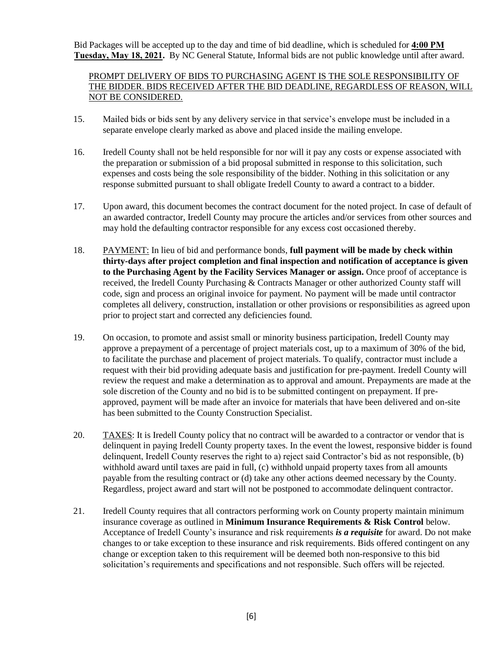Bid Packages will be accepted up to the day and time of bid deadline, which is scheduled for **4:00 PM Tuesday, May 18, 2021.** By NC General Statute, Informal bids are not public knowledge until after award.

#### PROMPT DELIVERY OF BIDS TO PURCHASING AGENT IS THE SOLE RESPONSIBILITY OF THE BIDDER. BIDS RECEIVED AFTER THE BID DEADLINE, REGARDLESS OF REASON, WILL NOT BE CONSIDERED.

- 15. Mailed bids or bids sent by any delivery service in that service's envelope must be included in a separate envelope clearly marked as above and placed inside the mailing envelope.
- 16. Iredell County shall not be held responsible for nor will it pay any costs or expense associated with the preparation or submission of a bid proposal submitted in response to this solicitation, such expenses and costs being the sole responsibility of the bidder. Nothing in this solicitation or any response submitted pursuant to shall obligate Iredell County to award a contract to a bidder.
- 17. Upon award, this document becomes the contract document for the noted project. In case of default of an awarded contractor, Iredell County may procure the articles and/or services from other sources and may hold the defaulting contractor responsible for any excess cost occasioned thereby.
- 18. PAYMENT: In lieu of bid and performance bonds, **full payment will be made by check within thirty-days after project completion and final inspection and notification of acceptance is given to the Purchasing Agent by the Facility Services Manager or assign.** Once proof of acceptance is received, the Iredell County Purchasing & Contracts Manager or other authorized County staff will code, sign and process an original invoice for payment. No payment will be made until contractor completes all delivery, construction, installation or other provisions or responsibilities as agreed upon prior to project start and corrected any deficiencies found.
- 19. On occasion, to promote and assist small or minority business participation, Iredell County may approve a prepayment of a percentage of project materials cost, up to a maximum of 30% of the bid, to facilitate the purchase and placement of project materials. To qualify, contractor must include a request with their bid providing adequate basis and justification for pre-payment. Iredell County will review the request and make a determination as to approval and amount. Prepayments are made at the sole discretion of the County and no bid is to be submitted contingent on prepayment. If preapproved, payment will be made after an invoice for materials that have been delivered and on-site has been submitted to the County Construction Specialist.
- 20. TAXES: It is Iredell County policy that no contract will be awarded to a contractor or vendor that is delinquent in paying Iredell County property taxes. In the event the lowest, responsive bidder is found delinquent, Iredell County reserves the right to a) reject said Contractor's bid as not responsible, (b) withhold award until taxes are paid in full, (c) withhold unpaid property taxes from all amounts payable from the resulting contract or (d) take any other actions deemed necessary by the County. Regardless, project award and start will not be postponed to accommodate delinquent contractor.
- 21. Iredell County requires that all contractors performing work on County property maintain minimum insurance coverage as outlined in **Minimum Insurance Requirements & Risk Control** below. Acceptance of Iredell County's insurance and risk requirements *is a requisite* for award. Do not make changes to or take exception to these insurance and risk requirements. Bids offered contingent on any change or exception taken to this requirement will be deemed both non-responsive to this bid solicitation's requirements and specifications and not responsible. Such offers will be rejected.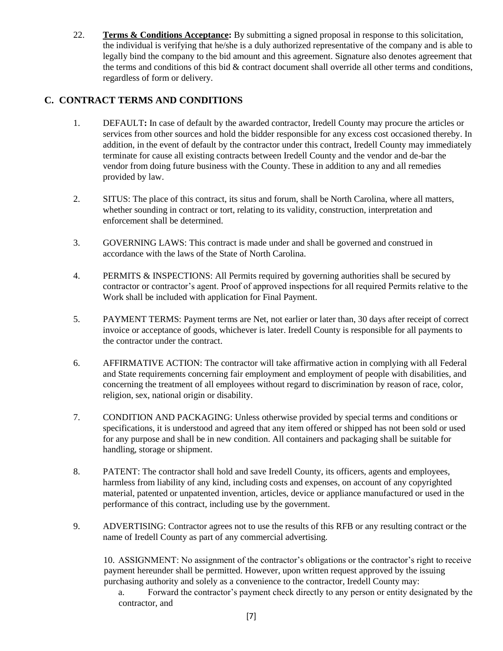22. **Terms & Conditions Acceptance:** By submitting a signed proposal in response to this solicitation, the individual is verifying that he/she is a duly authorized representative of the company and is able to legally bind the company to the bid amount and this agreement. Signature also denotes agreement that the terms and conditions of this bid & contract document shall override all other terms and conditions, regardless of form or delivery.

#### **C. CONTRACT TERMS AND CONDITIONS**

- 1. DEFAULT**:** In case of default by the awarded contractor, Iredell County may procure the articles or services from other sources and hold the bidder responsible for any excess cost occasioned thereby. In addition, in the event of default by the contractor under this contract, Iredell County may immediately terminate for cause all existing contracts between Iredell County and the vendor and de-bar the vendor from doing future business with the County. These in addition to any and all remedies provided by law.
- 2. SITUS: The place of this contract, its situs and forum, shall be North Carolina, where all matters, whether sounding in contract or tort, relating to its validity, construction, interpretation and enforcement shall be determined.
- 3. GOVERNING LAWS: This contract is made under and shall be governed and construed in accordance with the laws of the State of North Carolina.
- 4. PERMITS & INSPECTIONS: All Permits required by governing authorities shall be secured by contractor or contractor's agent. Proof of approved inspections for all required Permits relative to the Work shall be included with application for Final Payment.
- 5. PAYMENT TERMS: Payment terms are Net, not earlier or later than, 30 days after receipt of correct invoice or acceptance of goods, whichever is later. Iredell County is responsible for all payments to the contractor under the contract.
- 6. AFFIRMATIVE ACTION: The contractor will take affirmative action in complying with all Federal and State requirements concerning fair employment and employment of people with disabilities, and concerning the treatment of all employees without regard to discrimination by reason of race, color, religion, sex, national origin or disability.
- 7. CONDITION AND PACKAGING: Unless otherwise provided by special terms and conditions or specifications, it is understood and agreed that any item offered or shipped has not been sold or used for any purpose and shall be in new condition. All containers and packaging shall be suitable for handling, storage or shipment.
- 8. PATENT: The contractor shall hold and save Iredell County, its officers, agents and employees, harmless from liability of any kind, including costs and expenses, on account of any copyrighted material, patented or unpatented invention, articles, device or appliance manufactured or used in the performance of this contract, including use by the government.
- 9. ADVERTISING: Contractor agrees not to use the results of this RFB or any resulting contract or the name of Iredell County as part of any commercial advertising.

10. ASSIGNMENT: No assignment of the contractor's obligations or the contractor's right to receive payment hereunder shall be permitted. However, upon written request approved by the issuing purchasing authority and solely as a convenience to the contractor, Iredell County may:

a. Forward the contractor's payment check directly to any person or entity designated by the contractor, and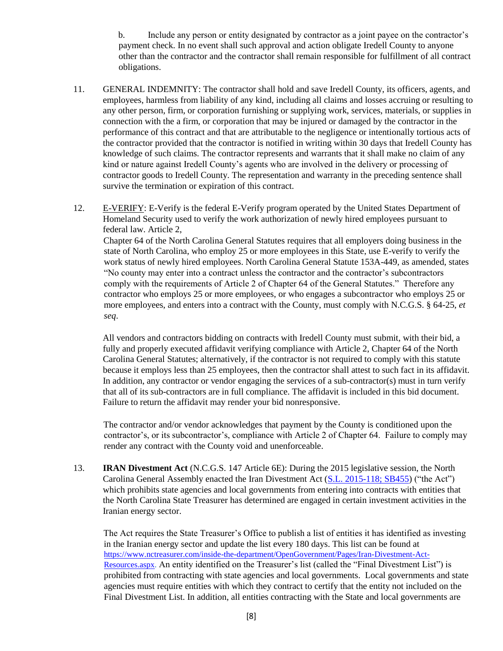b. Include any person or entity designated by contractor as a joint payee on the contractor's payment check. In no event shall such approval and action obligate Iredell County to anyone other than the contractor and the contractor shall remain responsible for fulfillment of all contract obligations.

- 11. GENERAL INDEMNITY: The contractor shall hold and save Iredell County, its officers, agents, and employees, harmless from liability of any kind, including all claims and losses accruing or resulting to any other person, firm, or corporation furnishing or supplying work, services, materials, or supplies in connection with the a firm, or corporation that may be injured or damaged by the contractor in the performance of this contract and that are attributable to the negligence or intentionally tortious acts of the contractor provided that the contractor is notified in writing within 30 days that Iredell County has knowledge of such claims. The contractor represents and warrants that it shall make no claim of any kind or nature against Iredell County's agents who are involved in the delivery or processing of contractor goods to Iredell County. The representation and warranty in the preceding sentence shall survive the termination or expiration of this contract.
- 12. E-VERIFY: E-Verify is the federal E-Verify program operated by the United States Department of Homeland Security used to verify the work authorization of newly hired employees pursuant to federal law. Article 2,

Chapter 64 of the North Carolina General Statutes requires that all employers doing business in the state of North Carolina, who employ 25 or more employees in this State, use E-verify to verify the work status of newly hired employees. North Carolina General Statute 153A-449, as amended, states "No county may enter into a contract unless the contractor and the contractor's subcontractors comply with the requirements of Article 2 of Chapter 64 of the General Statutes." Therefore any contractor who employs 25 or more employees, or who engages a subcontractor who employs 25 or more employees, and enters into a contract with the County, must comply with N.C.G.S. § 64-25, *et seq*.

 All vendors and contractors bidding on contracts with Iredell County must submit, with their bid, a fully and properly executed affidavit verifying compliance with Article 2, Chapter 64 of the North Carolina General Statutes; alternatively, if the contractor is not required to comply with this statute because it employs less than 25 employees, then the contractor shall attest to such fact in its affidavit. In addition, any contractor or vendor engaging the services of a sub-contractor(s) must in turn verify that all of its sub-contractors are in full compliance. The affidavit is included in this bid document. Failure to return the affidavit may render your bid nonresponsive.

The contractor and/or vendor acknowledges that payment by the County is conditioned upon the contractor's, or its subcontractor's, compliance with Article 2 of Chapter 64. Failure to comply may render any contract with the County void and unenforceable.

13. **IRAN Divestment Act** (N.C.G.S. 147 Article 6E): During the 2015 legislative session, the North Carolina General Assembly enacted the Iran Divestment Act [\(S.L. 2015-118; SB455\)](http://www.ncleg.net/Sessions/2015/Bills/Senate/HTML/S455v5.html) ("the Act") which prohibits state agencies and local governments from entering into contracts with entities that the North Carolina State Treasurer has determined are engaged in certain investment activities in the Iranian energy sector.

The Act requires the State Treasurer's Office to publish a list of entities it has identified as investing in the Iranian energy sector and update the list every 180 days. This list can be found at [https://www.nctreasurer.com/inside-the-department/OpenGovernment/Pages/Iran-Divestment-Act-](https://www.nctreasurer.com/inside-the-department/OpenGovernment/Pages/Iran-Divestment-Act-Resources.aspx)[Resources.aspx.](https://www.nctreasurer.com/inside-the-department/OpenGovernment/Pages/Iran-Divestment-Act-Resources.aspx) An entity identified on the Treasurer's list (called the "Final Divestment List") is prohibited from contracting with state agencies and local governments. Local governments and state agencies must require entities with which they contract to certify that the entity not included on the Final Divestment List. In addition, all entities contracting with the State and local governments are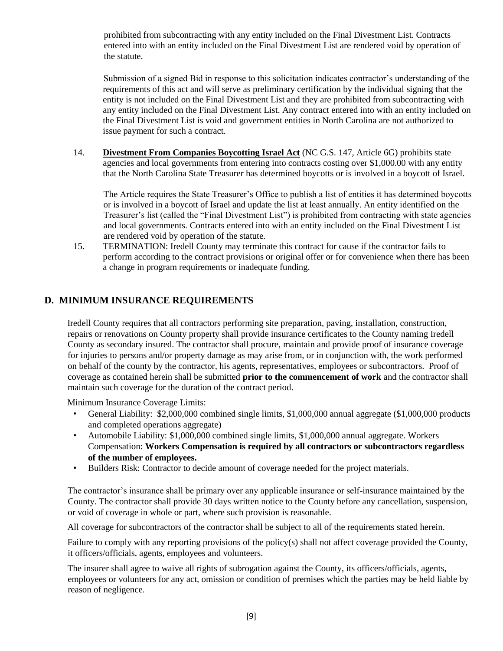prohibited from subcontracting with any entity included on the Final Divestment List. Contracts entered into with an entity included on the Final Divestment List are rendered void by operation of the statute.

Submission of a signed Bid in response to this solicitation indicates contractor's understanding of the requirements of this act and will serve as preliminary certification by the individual signing that the entity is not included on the Final Divestment List and they are prohibited from subcontracting with any entity included on the Final Divestment List. Any contract entered into with an entity included on the Final Divestment List is void and government entities in North Carolina are not authorized to issue payment for such a contract.

14. **Divestment From Companies Boycotting Israel Act** (NC G.S. 147, Article 6G) prohibits state agencies and local governments from entering into contracts costing over \$1,000.00 with any entity that the North Carolina State Treasurer has determined boycotts or is involved in a boycott of Israel.

The Article requires the State Treasurer's Office to publish a list of entities it has determined boycotts or is involved in a boycott of Israel and update the list at least annually. An entity identified on the Treasurer's list (called the "Final Divestment List") is prohibited from contracting with state agencies and local governments. Contracts entered into with an entity included on the Final Divestment List are rendered void by operation of the statute.

15. TERMINATION: Iredell County may terminate this contract for cause if the contractor fails to perform according to the contract provisions or original offer or for convenience when there has been a change in program requirements or inadequate funding.

#### **D. MINIMUM INSURANCE REQUIREMENTS**

Iredell County requires that all contractors performing site preparation, paving, installation, construction, repairs or renovations on County property shall provide insurance certificates to the County naming Iredell County as secondary insured. The contractor shall procure, maintain and provide proof of insurance coverage for injuries to persons and/or property damage as may arise from, or in conjunction with, the work performed on behalf of the county by the contractor, his agents, representatives, employees or subcontractors. Proof of coverage as contained herein shall be submitted **prior to the commencement of work** and the contractor shall maintain such coverage for the duration of the contract period.

Minimum Insurance Coverage Limits:

- General Liability: \$2,000,000 combined single limits, \$1,000,000 annual aggregate (\$1,000,000 products and completed operations aggregate)
- Automobile Liability: \$1,000,000 combined single limits, \$1,000,000 annual aggregate. Workers Compensation: **Workers Compensation is required by all contractors or subcontractors regardless of the number of employees.**
- Builders Risk: Contractor to decide amount of coverage needed for the project materials.

The contractor's insurance shall be primary over any applicable insurance or self-insurance maintained by the County. The contractor shall provide 30 days written notice to the County before any cancellation, suspension, or void of coverage in whole or part, where such provision is reasonable.

All coverage for subcontractors of the contractor shall be subject to all of the requirements stated herein.

Failure to comply with any reporting provisions of the policy(s) shall not affect coverage provided the County, it officers/officials, agents, employees and volunteers.

The insurer shall agree to waive all rights of subrogation against the County, its officers/officials, agents, employees or volunteers for any act, omission or condition of premises which the parties may be held liable by reason of negligence.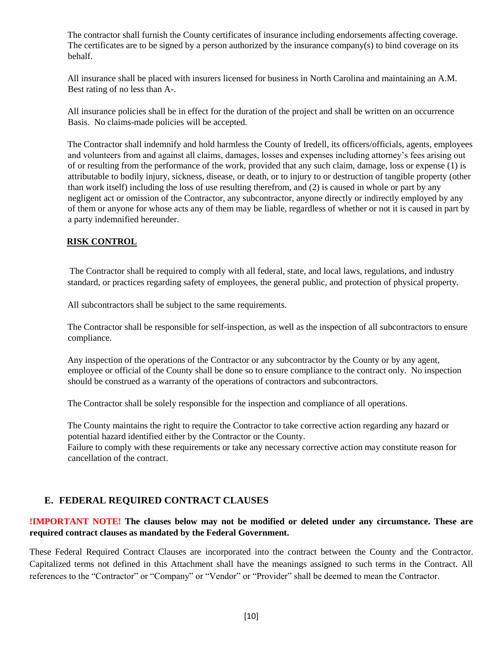The contractor shall furnish the County certificates of insurance including endorsements affecting coverage. The certificates are to be signed by a person authorized by the insurance company(s) to bind coverage on its behalf.

All insurance shall be placed with insurers licensed for business in North Carolina and maintaining an A.M. Best rating of no less than A-.

All insurance policies shall be in effect for the duration of the project and shall be written on an occurrence Basis. No claims-made policies will be accepted.

The Contractor shall indemnify and hold harmless the County of Iredell, its officers/officials, agents, employees and volunteers from and against all claims, damages, losses and expenses including attorney's fees arising out of or resulting from the performance of the work, provided that any such claim, damage, loss or expense (1) is attributable to bodily injury, sickness, disease, or death, or to injury to or destruction of tangible property (other than work itself) including the loss of use resulting therefrom, and (2) is caused in whole or part by any negligent act or omission of the Contractor, any subcontractor, anyone directly or indirectly employed by any of them or anyone for whose acts any of them may be liable, regardless of whether or not it is caused in part by a party indemnified hereunder.

#### **RISK CONTROL**

The Contractor shall be required to comply with all federal, state, and local laws, regulations, and industry standard, or practices regarding safety of employees, the general public, and protection of physical property.

All subcontractors shall be subject to the same requirements.

The Contractor shall be responsible for self-inspection, as well as the inspection of all subcontractors to ensure compliance.

Any inspection of the operations of the Contractor or any subcontractor by the County or by any agent, employee or official of the County shall be done so to ensure compliance to the contract only. No inspection should be construed as a warranty of the operations of contractors and subcontractors.

The Contractor shall be solely responsible for the inspection and compliance of all operations.

The County maintains the right to require the Contractor to take corrective action regarding any hazard or potential hazard identified either by the Contractor or the County.

Failure to comply with these requirements or take any necessary corrective action may constitute reason for cancellation of the contract.

#### **E. FEDERAL REQUIRED CONTRACT CLAUSES**

#### **!IMPORTANT NOTE! The clauses below may not be modified or deleted under any circumstance. These are required contract clauses as mandated by the Federal Government.**

These Federal Required Contract Clauses are incorporated into the contract between the County and the Contractor. Capitalized terms not defined in this Attachment shall have the meanings assigned to such terms in the Contract. All references to the "Contractor" or "Company" or "Vendor" or "Provider" shall be deemed to mean the Contractor.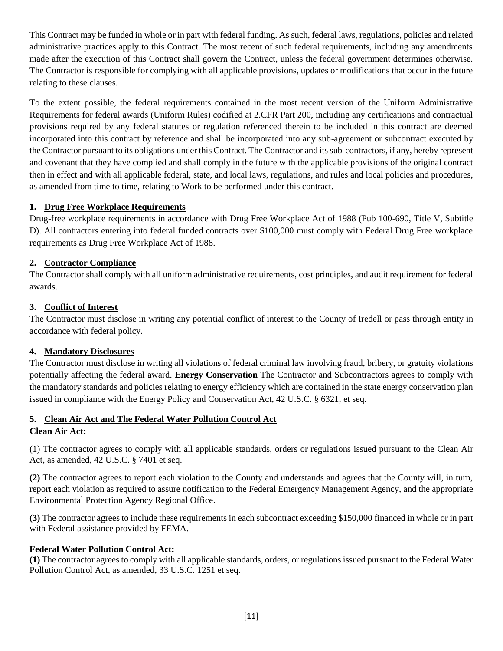This Contract may be funded in whole or in part with federal funding. As such, federal laws, regulations, policies and related administrative practices apply to this Contract. The most recent of such federal requirements, including any amendments made after the execution of this Contract shall govern the Contract, unless the federal government determines otherwise. The Contractor is responsible for complying with all applicable provisions, updates or modifications that occur in the future relating to these clauses.

To the extent possible, the federal requirements contained in the most recent version of the Uniform Administrative Requirements for federal awards (Uniform Rules) codified at 2.CFR Part 200, including any certifications and contractual provisions required by any federal statutes or regulation referenced therein to be included in this contract are deemed incorporated into this contract by reference and shall be incorporated into any sub-agreement or subcontract executed by the Contractor pursuant to its obligations under this Contract. The Contractor and its sub-contractors, if any, hereby represent and covenant that they have complied and shall comply in the future with the applicable provisions of the original contract then in effect and with all applicable federal, state, and local laws, regulations, and rules and local policies and procedures, as amended from time to time, relating to Work to be performed under this contract.

#### **1. Drug Free Workplace Requirements**

Drug-free workplace requirements in accordance with Drug Free Workplace Act of 1988 (Pub 100-690, Title V, Subtitle D). All contractors entering into federal funded contracts over \$100,000 must comply with Federal Drug Free workplace requirements as Drug Free Workplace Act of 1988.

#### **2. Contractor Compliance**

The Contractor shall comply with all uniform administrative requirements, cost principles, and audit requirement for federal awards.

#### **3. Conflict of Interest**

The Contractor must disclose in writing any potential conflict of interest to the County of Iredell or pass through entity in accordance with federal policy.

#### **4. Mandatory Disclosures**

The Contractor must disclose in writing all violations of federal criminal law involving fraud, bribery, or gratuity violations potentially affecting the federal award. **Energy Conservation** The Contractor and Subcontractors agrees to comply with the mandatory standards and policies relating to energy efficiency which are contained in the state energy conservation plan issued in compliance with the Energy Policy and Conservation Act, 42 U.S.C. § 6321, et seq.

#### **5. Clean Air Act and The Federal Water Pollution Control Act**

#### **Clean Air Act:**

(1) The contractor agrees to comply with all applicable standards, orders or regulations issued pursuant to the Clean Air Act, as amended, 42 U.S.C. § 7401 et seq.

**(2)** The contractor agrees to report each violation to the County and understands and agrees that the County will, in turn, report each violation as required to assure notification to the Federal Emergency Management Agency, and the appropriate Environmental Protection Agency Regional Office.

**(3)** The contractor agrees to include these requirements in each subcontract exceeding \$150,000 financed in whole or in part with Federal assistance provided by FEMA.

#### **Federal Water Pollution Control Act:**

**(1)** The contractor agrees to comply with all applicable standards, orders, or regulations issued pursuant to the Federal Water Pollution Control Act, as amended, 33 U.S.C. 1251 et seq.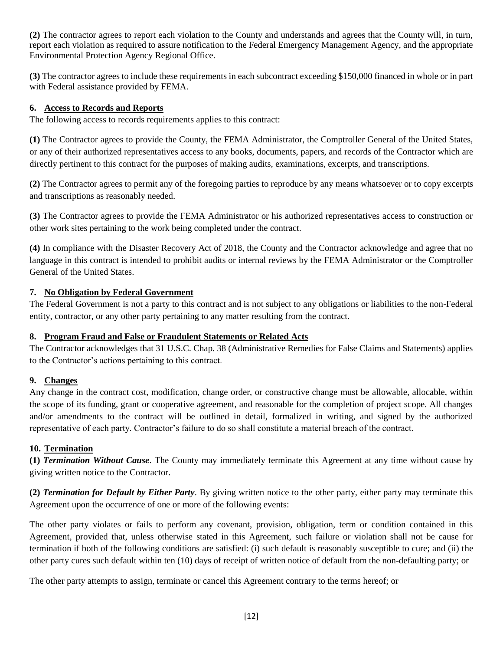**(2)** The contractor agrees to report each violation to the County and understands and agrees that the County will, in turn, report each violation as required to assure notification to the Federal Emergency Management Agency, and the appropriate Environmental Protection Agency Regional Office.

**(3)** The contractor agrees to include these requirements in each subcontract exceeding \$150,000 financed in whole or in part with Federal assistance provided by FEMA.

#### **6. Access to Records and Reports**

The following access to records requirements applies to this contract:

**(1)** The Contractor agrees to provide the County, the FEMA Administrator, the Comptroller General of the United States, or any of their authorized representatives access to any books, documents, papers, and records of the Contractor which are directly pertinent to this contract for the purposes of making audits, examinations, excerpts, and transcriptions.

**(2)** The Contractor agrees to permit any of the foregoing parties to reproduce by any means whatsoever or to copy excerpts and transcriptions as reasonably needed.

**(3)** The Contractor agrees to provide the FEMA Administrator or his authorized representatives access to construction or other work sites pertaining to the work being completed under the contract.

**(4)** In compliance with the Disaster Recovery Act of 2018, the County and the Contractor acknowledge and agree that no language in this contract is intended to prohibit audits or internal reviews by the FEMA Administrator or the Comptroller General of the United States.

#### **7. No Obligation by Federal Government**

The Federal Government is not a party to this contract and is not subject to any obligations or liabilities to the non-Federal entity, contractor, or any other party pertaining to any matter resulting from the contract.

#### **8. Program Fraud and False or Fraudulent Statements or Related Acts**

The Contractor acknowledges that 31 U.S.C. Chap. 38 (Administrative Remedies for False Claims and Statements) applies to the Contractor's actions pertaining to this contract.

#### **9. Changes**

Any change in the contract cost, modification, change order, or constructive change must be allowable, allocable, within the scope of its funding, grant or cooperative agreement, and reasonable for the completion of project scope. All changes and/or amendments to the contract will be outlined in detail, formalized in writing, and signed by the authorized representative of each party. Contractor's failure to do so shall constitute a material breach of the contract.

#### **10. Termination**

**(1)** *Termination Without Cause*. The County may immediately terminate this Agreement at any time without cause by giving written notice to the Contractor.

**(2)** *Termination for Default by Either Party*. By giving written notice to the other party, either party may terminate this Agreement upon the occurrence of one or more of the following events:

The other party violates or fails to perform any covenant, provision, obligation, term or condition contained in this Agreement, provided that, unless otherwise stated in this Agreement, such failure or violation shall not be cause for termination if both of the following conditions are satisfied: (i) such default is reasonably susceptible to cure; and (ii) the other party cures such default within ten (10) days of receipt of written notice of default from the non-defaulting party; or

The other party attempts to assign, terminate or cancel this Agreement contrary to the terms hereof; or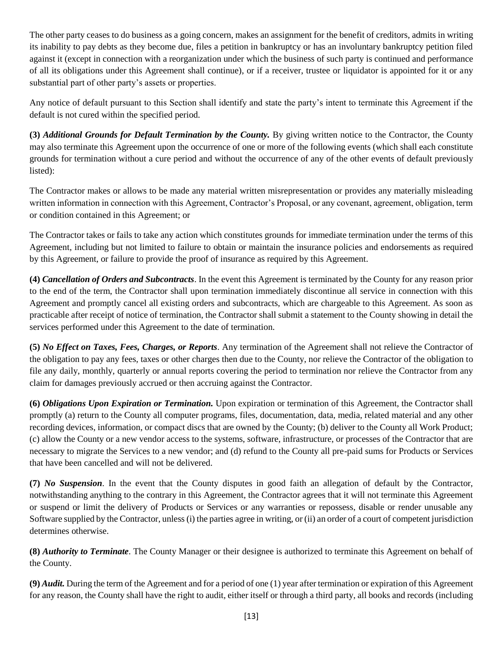The other party ceases to do business as a going concern, makes an assignment for the benefit of creditors, admits in writing its inability to pay debts as they become due, files a petition in bankruptcy or has an involuntary bankruptcy petition filed against it (except in connection with a reorganization under which the business of such party is continued and performance of all its obligations under this Agreement shall continue), or if a receiver, trustee or liquidator is appointed for it or any substantial part of other party's assets or properties.

Any notice of default pursuant to this Section shall identify and state the party's intent to terminate this Agreement if the default is not cured within the specified period.

**(3)** *Additional Grounds for Default Termination by the County.* By giving written notice to the Contractor, the County may also terminate this Agreement upon the occurrence of one or more of the following events (which shall each constitute grounds for termination without a cure period and without the occurrence of any of the other events of default previously listed):

The Contractor makes or allows to be made any material written misrepresentation or provides any materially misleading written information in connection with this Agreement, Contractor's Proposal, or any covenant, agreement, obligation, term or condition contained in this Agreement; or

The Contractor takes or fails to take any action which constitutes grounds for immediate termination under the terms of this Agreement, including but not limited to failure to obtain or maintain the insurance policies and endorsements as required by this Agreement, or failure to provide the proof of insurance as required by this Agreement.

**(4)** *Cancellation of Orders and Subcontracts*. In the event this Agreement is terminated by the County for any reason prior to the end of the term, the Contractor shall upon termination immediately discontinue all service in connection with this Agreement and promptly cancel all existing orders and subcontracts, which are chargeable to this Agreement. As soon as practicable after receipt of notice of termination, the Contractor shall submit a statement to the County showing in detail the services performed under this Agreement to the date of termination.

**(5)** *No Effect on Taxes, Fees, Charges, or Reports*. Any termination of the Agreement shall not relieve the Contractor of the obligation to pay any fees, taxes or other charges then due to the County, nor relieve the Contractor of the obligation to file any daily, monthly, quarterly or annual reports covering the period to termination nor relieve the Contractor from any claim for damages previously accrued or then accruing against the Contractor.

**(6)** *Obligations Upon Expiration or Termination.* Upon expiration or termination of this Agreement, the Contractor shall promptly (a) return to the County all computer programs, files, documentation, data, media, related material and any other recording devices, information, or compact discs that are owned by the County; (b) deliver to the County all Work Product; (c) allow the County or a new vendor access to the systems, software, infrastructure, or processes of the Contractor that are necessary to migrate the Services to a new vendor; and (d) refund to the County all pre-paid sums for Products or Services that have been cancelled and will not be delivered.

**(7)** *No Suspension*. In the event that the County disputes in good faith an allegation of default by the Contractor, notwithstanding anything to the contrary in this Agreement, the Contractor agrees that it will not terminate this Agreement or suspend or limit the delivery of Products or Services or any warranties or repossess, disable or render unusable any Software supplied by the Contractor, unless (i) the parties agree in writing, or (ii) an order of a court of competent jurisdiction determines otherwise.

**(8)** *Authority to Terminate*. The County Manager or their designee is authorized to terminate this Agreement on behalf of the County.

**(9)** *Audit.* During the term of the Agreement and for a period of one (1) year after termination or expiration of this Agreement for any reason, the County shall have the right to audit, either itself or through a third party, all books and records (including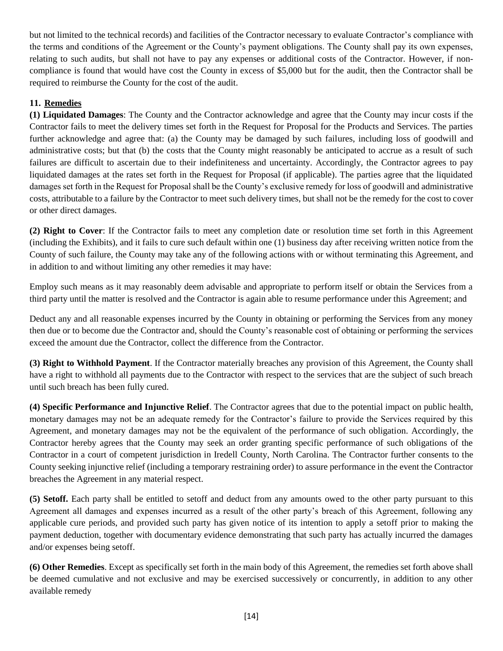but not limited to the technical records) and facilities of the Contractor necessary to evaluate Contractor's compliance with the terms and conditions of the Agreement or the County's payment obligations. The County shall pay its own expenses, relating to such audits, but shall not have to pay any expenses or additional costs of the Contractor. However, if noncompliance is found that would have cost the County in excess of \$5,000 but for the audit, then the Contractor shall be required to reimburse the County for the cost of the audit.

#### **11. Remedies**

**(1) Liquidated Damages**: The County and the Contractor acknowledge and agree that the County may incur costs if the Contractor fails to meet the delivery times set forth in the Request for Proposal for the Products and Services. The parties further acknowledge and agree that: (a) the County may be damaged by such failures, including loss of goodwill and administrative costs; but that (b) the costs that the County might reasonably be anticipated to accrue as a result of such failures are difficult to ascertain due to their indefiniteness and uncertainty. Accordingly, the Contractor agrees to pay liquidated damages at the rates set forth in the Request for Proposal (if applicable). The parties agree that the liquidated damages set forth in the Request for Proposal shall be the County's exclusive remedy for loss of goodwill and administrative costs, attributable to a failure by the Contractor to meet such delivery times, but shall not be the remedy for the cost to cover or other direct damages.

**(2) Right to Cover**: If the Contractor fails to meet any completion date or resolution time set forth in this Agreement (including the Exhibits), and it fails to cure such default within one (1) business day after receiving written notice from the County of such failure, the County may take any of the following actions with or without terminating this Agreement, and in addition to and without limiting any other remedies it may have:

Employ such means as it may reasonably deem advisable and appropriate to perform itself or obtain the Services from a third party until the matter is resolved and the Contractor is again able to resume performance under this Agreement; and

Deduct any and all reasonable expenses incurred by the County in obtaining or performing the Services from any money then due or to become due the Contractor and, should the County's reasonable cost of obtaining or performing the services exceed the amount due the Contractor, collect the difference from the Contractor.

**(3) Right to Withhold Payment**. If the Contractor materially breaches any provision of this Agreement, the County shall have a right to withhold all payments due to the Contractor with respect to the services that are the subject of such breach until such breach has been fully cured.

**(4) Specific Performance and Injunctive Relief**. The Contractor agrees that due to the potential impact on public health, monetary damages may not be an adequate remedy for the Contractor's failure to provide the Services required by this Agreement, and monetary damages may not be the equivalent of the performance of such obligation. Accordingly, the Contractor hereby agrees that the County may seek an order granting specific performance of such obligations of the Contractor in a court of competent jurisdiction in Iredell County, North Carolina. The Contractor further consents to the County seeking injunctive relief (including a temporary restraining order) to assure performance in the event the Contractor breaches the Agreement in any material respect.

**(5) Setoff.** Each party shall be entitled to setoff and deduct from any amounts owed to the other party pursuant to this Agreement all damages and expenses incurred as a result of the other party's breach of this Agreement, following any applicable cure periods, and provided such party has given notice of its intention to apply a setoff prior to making the payment deduction, together with documentary evidence demonstrating that such party has actually incurred the damages and/or expenses being setoff.

**(6) Other Remedies**. Except as specifically set forth in the main body of this Agreement, the remedies set forth above shall be deemed cumulative and not exclusive and may be exercised successively or concurrently, in addition to any other available remedy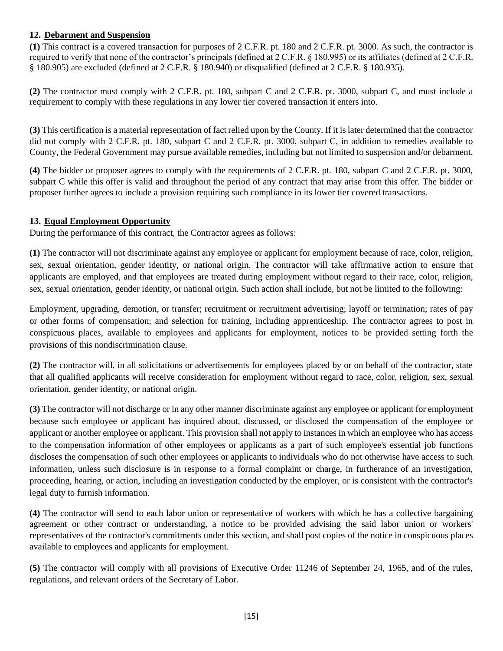#### **12. Debarment and Suspension**

**(1)** This contract is a covered transaction for purposes of 2 C.F.R. pt. 180 and 2 C.F.R. pt. 3000. As such, the contractor is required to verify that none of the contractor's principals (defined at 2 C.F.R. § 180.995) or its affiliates (defined at 2 C.F.R. § 180.905) are excluded (defined at 2 C.F.R. § 180.940) or disqualified (defined at 2 C.F.R. § 180.935).

**(2)** The contractor must comply with 2 C.F.R. pt. 180, subpart C and 2 C.F.R. pt. 3000, subpart C, and must include a requirement to comply with these regulations in any lower tier covered transaction it enters into.

**(3)** This certification is a material representation of fact relied upon by the County. If it is later determined that the contractor did not comply with 2 C.F.R. pt. 180, subpart C and 2 C.F.R. pt. 3000, subpart C, in addition to remedies available to County, the Federal Government may pursue available remedies, including but not limited to suspension and/or debarment.

**(4)** The bidder or proposer agrees to comply with the requirements of 2 C.F.R. pt. 180, subpart C and 2 C.F.R. pt. 3000, subpart C while this offer is valid and throughout the period of any contract that may arise from this offer. The bidder or proposer further agrees to include a provision requiring such compliance in its lower tier covered transactions.

#### **13. Equal Employment Opportunity**

During the performance of this contract, the Contractor agrees as follows:

**(1)** The contractor will not discriminate against any employee or applicant for employment because of race, color, religion, sex, sexual orientation, gender identity, or national origin. The contractor will take affirmative action to ensure that applicants are employed, and that employees are treated during employment without regard to their race, color, religion, sex, sexual orientation, gender identity, or national origin. Such action shall include, but not be limited to the following:

Employment, upgrading, demotion, or transfer; recruitment or recruitment advertising; layoff or termination; rates of pay or other forms of compensation; and selection for training, including apprenticeship. The contractor agrees to post in conspicuous places, available to employees and applicants for employment, notices to be provided setting forth the provisions of this nondiscrimination clause.

**(2)** The contractor will, in all solicitations or advertisements for employees placed by or on behalf of the contractor, state that all qualified applicants will receive consideration for employment without regard to race, color, religion, sex, sexual orientation, gender identity, or national origin.

**(3)** The contractor will not discharge or in any other manner discriminate against any employee or applicant for employment because such employee or applicant has inquired about, discussed, or disclosed the compensation of the employee or applicant or another employee or applicant. This provision shall not apply to instances in which an employee who has access to the compensation information of other employees or applicants as a part of such employee's essential job functions discloses the compensation of such other employees or applicants to individuals who do not otherwise have access to such information, unless such disclosure is in response to a formal complaint or charge, in furtherance of an investigation, proceeding, hearing, or action, including an investigation conducted by the employer, or is consistent with the contractor's legal duty to furnish information.

**(4)** The contractor will send to each labor union or representative of workers with which he has a collective bargaining agreement or other contract or understanding, a notice to be provided advising the said labor union or workers' representatives of the contractor's commitments under this section, and shall post copies of the notice in conspicuous places available to employees and applicants for employment.

**(5)** The contractor will comply with all provisions of Executive Order 11246 of September 24, 1965, and of the rules, regulations, and relevant orders of the Secretary of Labor.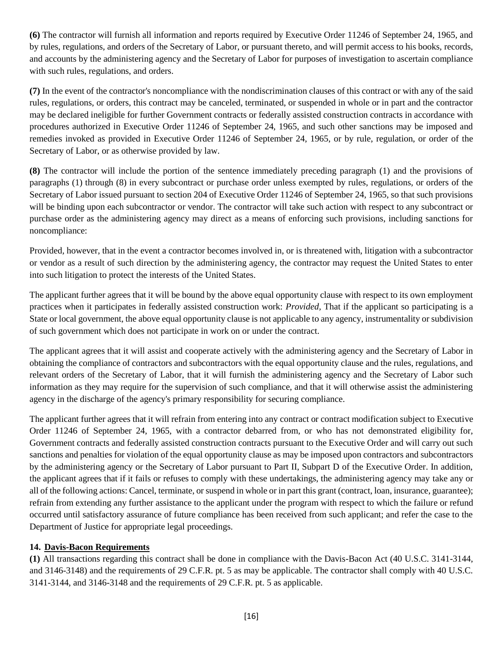**(6)** The contractor will furnish all information and reports required by Executive Order 11246 of September 24, 1965, and by rules, regulations, and orders of the Secretary of Labor, or pursuant thereto, and will permit access to his books, records, and accounts by the administering agency and the Secretary of Labor for purposes of investigation to ascertain compliance with such rules, regulations, and orders.

**(7)** In the event of the contractor's noncompliance with the nondiscrimination clauses of this contract or with any of the said rules, regulations, or orders, this contract may be canceled, terminated, or suspended in whole or in part and the contractor may be declared ineligible for further Government contracts or federally assisted construction contracts in accordance with procedures authorized in Executive Order 11246 of September 24, 1965, and such other sanctions may be imposed and remedies invoked as provided in Executive Order 11246 of September 24, 1965, or by rule, regulation, or order of the Secretary of Labor, or as otherwise provided by law.

**(8)** The contractor will include the portion of the sentence immediately preceding paragraph (1) and the provisions of paragraphs (1) through (8) in every subcontract or purchase order unless exempted by rules, regulations, or orders of the Secretary of Labor issued pursuant to section 204 of Executive Order 11246 of September 24, 1965, so that such provisions will be binding upon each subcontractor or vendor. The contractor will take such action with respect to any subcontract or purchase order as the administering agency may direct as a means of enforcing such provisions, including sanctions for noncompliance:

Provided*,* however, that in the event a contractor becomes involved in, or is threatened with, litigation with a subcontractor or vendor as a result of such direction by the administering agency, the contractor may request the United States to enter into such litigation to protect the interests of the United States.

The applicant further agrees that it will be bound by the above equal opportunity clause with respect to its own employment practices when it participates in federally assisted construction work: *Provided,* That if the applicant so participating is a State or local government, the above equal opportunity clause is not applicable to any agency, instrumentality or subdivision of such government which does not participate in work on or under the contract.

The applicant agrees that it will assist and cooperate actively with the administering agency and the Secretary of Labor in obtaining the compliance of contractors and subcontractors with the equal opportunity clause and the rules, regulations, and relevant orders of the Secretary of Labor, that it will furnish the administering agency and the Secretary of Labor such information as they may require for the supervision of such compliance, and that it will otherwise assist the administering agency in the discharge of the agency's primary responsibility for securing compliance.

The applicant further agrees that it will refrain from entering into any contract or contract modification subject to Executive Order 11246 of September 24, 1965, with a contractor debarred from, or who has not demonstrated eligibility for, Government contracts and federally assisted construction contracts pursuant to the Executive Order and will carry out such sanctions and penalties for violation of the equal opportunity clause as may be imposed upon contractors and subcontractors by the administering agency or the Secretary of Labor pursuant to Part II, Subpart D of the Executive Order. In addition, the applicant agrees that if it fails or refuses to comply with these undertakings, the administering agency may take any or all of the following actions: Cancel, terminate, or suspend in whole or in part this grant (contract, loan, insurance, guarantee); refrain from extending any further assistance to the applicant under the program with respect to which the failure or refund occurred until satisfactory assurance of future compliance has been received from such applicant; and refer the case to the Department of Justice for appropriate legal proceedings.

#### **14. Davis-Bacon Requirements**

**(1)** All transactions regarding this contract shall be done in compliance with the Davis-Bacon Act (40 U.S.C. 3141-3144, and 3146-3148) and the requirements of 29 C.F.R. pt. 5 as may be applicable. The contractor shall comply with 40 U.S.C. 3141-3144, and 3146-3148 and the requirements of 29 C.F.R. pt. 5 as applicable.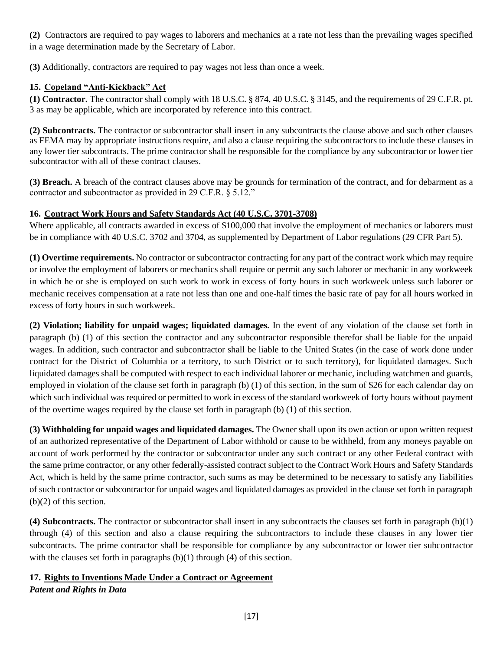**(2)** Contractors are required to pay wages to laborers and mechanics at a rate not less than the prevailing wages specified in a wage determination made by the Secretary of Labor.

**(3)** Additionally, contractors are required to pay wages not less than once a week.

#### **15. Copeland "Anti-Kickback" Act**

**(1) Contractor.** The contractor shall comply with 18 U.S.C. § 874, 40 U.S.C. § 3145, and the requirements of 29 C.F.R. pt. 3 as may be applicable, which are incorporated by reference into this contract.

**(2) Subcontracts.** The contractor or subcontractor shall insert in any subcontracts the clause above and such other clauses as FEMA may by appropriate instructions require, and also a clause requiring the subcontractors to include these clauses in any lower tier subcontracts. The prime contractor shall be responsible for the compliance by any subcontractor or lower tier subcontractor with all of these contract clauses.

**(3) Breach.** A breach of the contract clauses above may be grounds for termination of the contract, and for debarment as a contractor and subcontractor as provided in 29 C.F.R. § 5.12."

#### **16. Contract Work Hours and Safety Standards Act (40 U.S.C. 3701-3708)**

Where applicable, all contracts awarded in excess of \$100,000 that involve the employment of mechanics or laborers must be in compliance with 40 U.S.C. 3702 and 3704, as supplemented by Department of Labor regulations (29 CFR Part 5).

**(1) Overtime requirements.** No contractor or subcontractor contracting for any part of the contract work which may require or involve the employment of laborers or mechanics shall require or permit any such laborer or mechanic in any workweek in which he or she is employed on such work to work in excess of forty hours in such workweek unless such laborer or mechanic receives compensation at a rate not less than one and one-half times the basic rate of pay for all hours worked in excess of forty hours in such workweek.

**(2) Violation; liability for unpaid wages; liquidated damages.** In the event of any violation of the clause set forth in paragraph (b) (1) of this section the contractor and any subcontractor responsible therefor shall be liable for the unpaid wages. In addition, such contractor and subcontractor shall be liable to the United States (in the case of work done under contract for the District of Columbia or a territory, to such District or to such territory), for liquidated damages. Such liquidated damages shall be computed with respect to each individual laborer or mechanic, including watchmen and guards, employed in violation of the clause set forth in paragraph (b) (1) of this section, in the sum of \$26 for each calendar day on which such individual was required or permitted to work in excess of the standard workweek of forty hours without payment of the overtime wages required by the clause set forth in paragraph  $(b)$  (1) of this section.

**(3) Withholding for unpaid wages and liquidated damages.** The Owner shall upon its own action or upon written request of an authorized representative of the Department of Labor withhold or cause to be withheld, from any moneys payable on account of work performed by the contractor or subcontractor under any such contract or any other Federal contract with the same prime contractor, or any other federally-assisted contract subject to the Contract Work Hours and Safety Standards Act, which is held by the same prime contractor, such sums as may be determined to be necessary to satisfy any liabilities of such contractor or subcontractor for unpaid wages and liquidated damages as provided in the clause set forth in paragraph (b)(2) of this section.

**(4) Subcontracts.** The contractor or subcontractor shall insert in any subcontracts the clauses set forth in paragraph (b)(1) through (4) of this section and also a clause requiring the subcontractors to include these clauses in any lower tier subcontracts. The prime contractor shall be responsible for compliance by any subcontractor or lower tier subcontractor with the clauses set forth in paragraphs  $(b)(1)$  through  $(4)$  of this section.

#### **17. Rights to Inventions Made Under a Contract or Agreement**  *Patent and Rights in Data*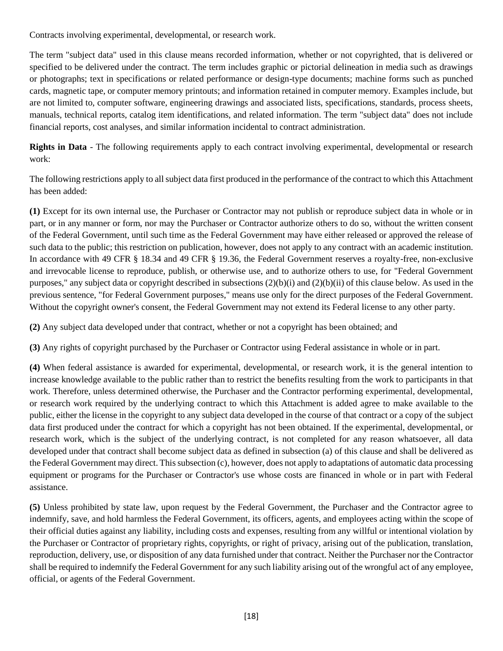Contracts involving experimental, developmental, or research work.

The term "subject data" used in this clause means recorded information, whether or not copyrighted, that is delivered or specified to be delivered under the contract. The term includes graphic or pictorial delineation in media such as drawings or photographs; text in specifications or related performance or design-type documents; machine forms such as punched cards, magnetic tape, or computer memory printouts; and information retained in computer memory. Examples include, but are not limited to, computer software, engineering drawings and associated lists, specifications, standards, process sheets, manuals, technical reports, catalog item identifications, and related information. The term "subject data" does not include financial reports, cost analyses, and similar information incidental to contract administration.

**Rights in Data** - The following requirements apply to each contract involving experimental, developmental or research work:

The following restrictions apply to all subject data first produced in the performance of the contract to which this Attachment has been added:

**(1)** Except for its own internal use, the Purchaser or Contractor may not publish or reproduce subject data in whole or in part, or in any manner or form, nor may the Purchaser or Contractor authorize others to do so, without the written consent of the Federal Government, until such time as the Federal Government may have either released or approved the release of such data to the public; this restriction on publication, however, does not apply to any contract with an academic institution. In accordance with 49 CFR § 18.34 and 49 CFR § 19.36, the Federal Government reserves a royalty-free, non-exclusive and irrevocable license to reproduce, publish, or otherwise use, and to authorize others to use, for "Federal Government purposes," any subject data or copyright described in subsections  $(2)(b)(i)$  and  $(2)(b)(ii)$  of this clause below. As used in the previous sentence, "for Federal Government purposes," means use only for the direct purposes of the Federal Government. Without the copyright owner's consent, the Federal Government may not extend its Federal license to any other party.

**(2)** Any subject data developed under that contract, whether or not a copyright has been obtained; and

**(3)** Any rights of copyright purchased by the Purchaser or Contractor using Federal assistance in whole or in part.

**(4)** When federal assistance is awarded for experimental, developmental, or research work, it is the general intention to increase knowledge available to the public rather than to restrict the benefits resulting from the work to participants in that work. Therefore, unless determined otherwise, the Purchaser and the Contractor performing experimental, developmental, or research work required by the underlying contract to which this Attachment is added agree to make available to the public, either the license in the copyright to any subject data developed in the course of that contract or a copy of the subject data first produced under the contract for which a copyright has not been obtained. If the experimental, developmental, or research work, which is the subject of the underlying contract, is not completed for any reason whatsoever, all data developed under that contract shall become subject data as defined in subsection (a) of this clause and shall be delivered as the Federal Government may direct. This subsection (c), however, does not apply to adaptations of automatic data processing equipment or programs for the Purchaser or Contractor's use whose costs are financed in whole or in part with Federal assistance.

**(5)** Unless prohibited by state law, upon request by the Federal Government, the Purchaser and the Contractor agree to indemnify, save, and hold harmless the Federal Government, its officers, agents, and employees acting within the scope of their official duties against any liability, including costs and expenses, resulting from any willful or intentional violation by the Purchaser or Contractor of proprietary rights, copyrights, or right of privacy, arising out of the publication, translation, reproduction, delivery, use, or disposition of any data furnished under that contract. Neither the Purchaser nor the Contractor shall be required to indemnify the Federal Government for any such liability arising out of the wrongful act of any employee, official, or agents of the Federal Government.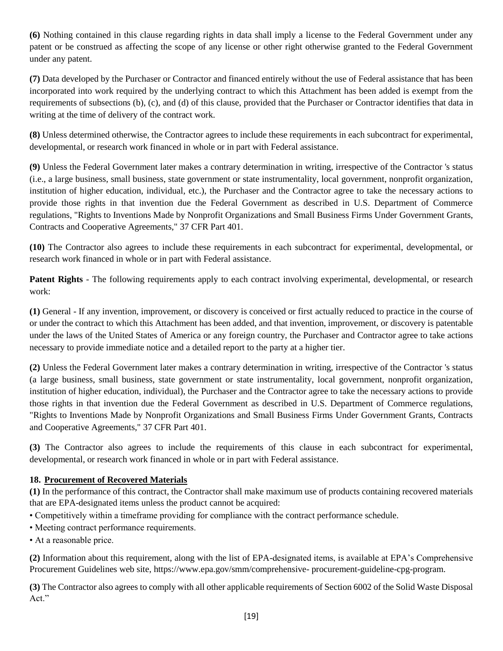**(6)** Nothing contained in this clause regarding rights in data shall imply a license to the Federal Government under any patent or be construed as affecting the scope of any license or other right otherwise granted to the Federal Government under any patent.

**(7)** Data developed by the Purchaser or Contractor and financed entirely without the use of Federal assistance that has been incorporated into work required by the underlying contract to which this Attachment has been added is exempt from the requirements of subsections (b), (c), and (d) of this clause, provided that the Purchaser or Contractor identifies that data in writing at the time of delivery of the contract work.

**(8)** Unless determined otherwise, the Contractor agrees to include these requirements in each subcontract for experimental, developmental, or research work financed in whole or in part with Federal assistance.

**(9)** Unless the Federal Government later makes a contrary determination in writing, irrespective of the Contractor 's status (i.e., a large business, small business, state government or state instrumentality, local government, nonprofit organization, institution of higher education, individual, etc.), the Purchaser and the Contractor agree to take the necessary actions to provide those rights in that invention due the Federal Government as described in U.S. Department of Commerce regulations, "Rights to Inventions Made by Nonprofit Organizations and Small Business Firms Under Government Grants, Contracts and Cooperative Agreements," 37 CFR Part 401.

**(10)** The Contractor also agrees to include these requirements in each subcontract for experimental, developmental, or research work financed in whole or in part with Federal assistance.

**Patent Rights** - The following requirements apply to each contract involving experimental, developmental, or research work:

**(1)** General - If any invention, improvement, or discovery is conceived or first actually reduced to practice in the course of or under the contract to which this Attachment has been added, and that invention, improvement, or discovery is patentable under the laws of the United States of America or any foreign country, the Purchaser and Contractor agree to take actions necessary to provide immediate notice and a detailed report to the party at a higher tier.

**(2)** Unless the Federal Government later makes a contrary determination in writing, irrespective of the Contractor 's status (a large business, small business, state government or state instrumentality, local government, nonprofit organization, institution of higher education, individual), the Purchaser and the Contractor agree to take the necessary actions to provide those rights in that invention due the Federal Government as described in U.S. Department of Commerce regulations, "Rights to Inventions Made by Nonprofit Organizations and Small Business Firms Under Government Grants, Contracts and Cooperative Agreements," 37 CFR Part 401.

**(3)** The Contractor also agrees to include the requirements of this clause in each subcontract for experimental, developmental, or research work financed in whole or in part with Federal assistance.

#### **18. Procurement of Recovered Materials**

**(1)** In the performance of this contract, the Contractor shall make maximum use of products containing recovered materials that are EPA-designated items unless the product cannot be acquired:

- Competitively within a timeframe providing for compliance with the contract performance schedule.
- Meeting contract performance requirements.
- At a reasonable price.

**(2)** Information about this requirement, along with the list of EPA-designated items, is available at EPA's Comprehensive Procurement Guidelines web site, https://www.epa.gov/smm/comprehensive- procurement-guideline-cpg-program.

**(3)** The Contractor also agrees to comply with all other applicable requirements of Section 6002 of the Solid Waste Disposal Act."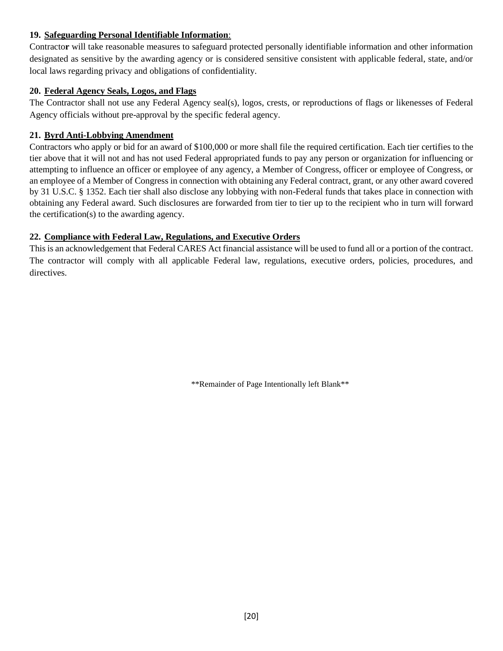#### **19. Safeguarding Personal Identifiable Information**:

Contracto**r** will take reasonable measures to safeguard protected personally identifiable information and other information designated as sensitive by the awarding agency or is considered sensitive consistent with applicable federal, state, and/or local laws regarding privacy and obligations of confidentiality.

#### **20. Federal Agency Seals, Logos, and Flags**

The Contractor shall not use any Federal Agency seal(s), logos, crests, or reproductions of flags or likenesses of Federal Agency officials without pre-approval by the specific federal agency.

#### **21. Byrd Anti-Lobbying Amendment**

Contractors who apply or bid for an award of \$100,000 or more shall file the required certification. Each tier certifies to the tier above that it will not and has not used Federal appropriated funds to pay any person or organization for influencing or attempting to influence an officer or employee of any agency, a Member of Congress, officer or employee of Congress, or an employee of a Member of Congress in connection with obtaining any Federal contract, grant, or any other award covered by 31 U.S.C. § 1352. Each tier shall also disclose any lobbying with non-Federal funds that takes place in connection with obtaining any Federal award. Such disclosures are forwarded from tier to tier up to the recipient who in turn will forward the certification(s) to the awarding agency.

#### **22. Compliance with Federal Law, Regulations, and Executive Orders**

This is an acknowledgement that Federal CARES Act financial assistance will be used to fund all or a portion of the contract. The contractor will comply with all applicable Federal law, regulations, executive orders, policies, procedures, and directives.

\*\*Remainder of Page Intentionally left Blank\*\*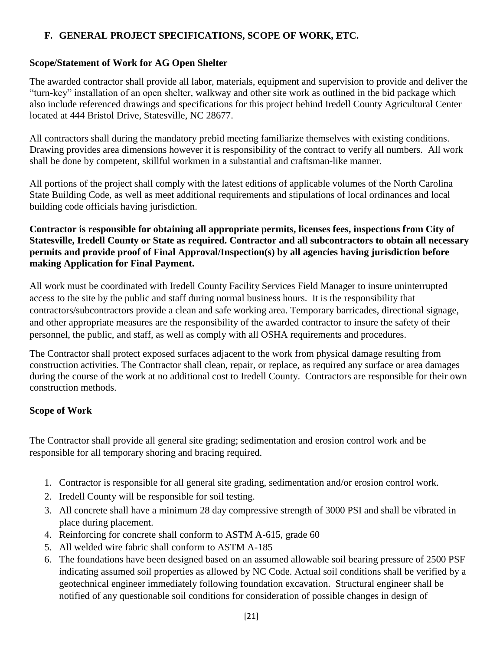#### **F. GENERAL PROJECT SPECIFICATIONS, SCOPE OF WORK, ETC.**

#### **Scope/Statement of Work for AG Open Shelter**

The awarded contractor shall provide all labor, materials, equipment and supervision to provide and deliver the "turn-key" installation of an open shelter, walkway and other site work as outlined in the bid package which also include referenced drawings and specifications for this project behind Iredell County Agricultural Center located at 444 Bristol Drive, Statesville, NC 28677.

All contractors shall during the mandatory prebid meeting familiarize themselves with existing conditions. Drawing provides area dimensions however it is responsibility of the contract to verify all numbers. All work shall be done by competent, skillful workmen in a substantial and craftsman-like manner.

All portions of the project shall comply with the latest editions of applicable volumes of the North Carolina State Building Code, as well as meet additional requirements and stipulations of local ordinances and local building code officials having jurisdiction.

#### **Contractor is responsible for obtaining all appropriate permits, licenses fees, inspections from City of Statesville, Iredell County or State as required. Contractor and all subcontractors to obtain all necessary permits and provide proof of Final Approval/Inspection(s) by all agencies having jurisdiction before making Application for Final Payment.**

All work must be coordinated with Iredell County Facility Services Field Manager to insure uninterrupted access to the site by the public and staff during normal business hours. It is the responsibility that contractors/subcontractors provide a clean and safe working area. Temporary barricades, directional signage, and other appropriate measures are the responsibility of the awarded contractor to insure the safety of their personnel, the public, and staff, as well as comply with all OSHA requirements and procedures.

The Contractor shall protect exposed surfaces adjacent to the work from physical damage resulting from construction activities. The Contractor shall clean, repair, or replace, as required any surface or area damages during the course of the work at no additional cost to Iredell County. Contractors are responsible for their own construction methods.

#### **Scope of Work**

The Contractor shall provide all general site grading; sedimentation and erosion control work and be responsible for all temporary shoring and bracing required.

- 1. Contractor is responsible for all general site grading, sedimentation and/or erosion control work.
- 2. Iredell County will be responsible for soil testing.
- 3. All concrete shall have a minimum 28 day compressive strength of 3000 PSI and shall be vibrated in place during placement.
- 4. Reinforcing for concrete shall conform to ASTM A-615, grade 60
- 5. All welded wire fabric shall conform to ASTM A-185
- 6. The foundations have been designed based on an assumed allowable soil bearing pressure of 2500 PSF indicating assumed soil properties as allowed by NC Code. Actual soil conditions shall be verified by a geotechnical engineer immediately following foundation excavation. Structural engineer shall be notified of any questionable soil conditions for consideration of possible changes in design of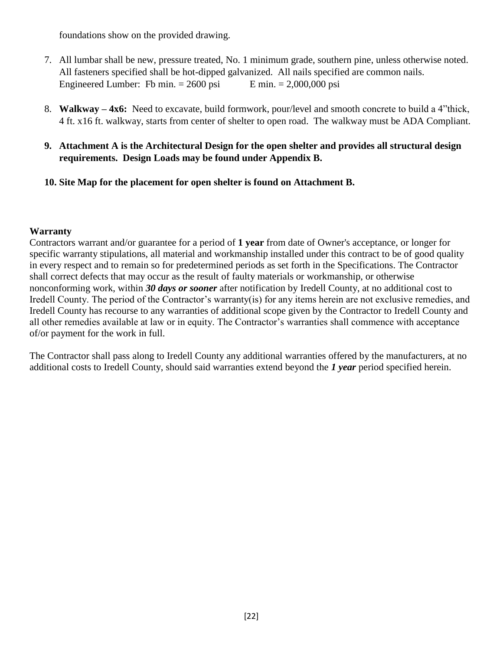foundations show on the provided drawing.

- 7. All lumbar shall be new, pressure treated, No. 1 minimum grade, southern pine, unless otherwise noted. All fasteners specified shall be hot-dipped galvanized. All nails specified are common nails. Engineered Lumber: Fb min.  $= 2600 \text{ psi}$  E min.  $= 2,000,000 \text{ psi}$
- 8. **Walkway – 4x6:** Need to excavate, build formwork, pour/level and smooth concrete to build a 4"thick, 4 ft. x16 ft. walkway, starts from center of shelter to open road. The walkway must be ADA Compliant.
- **9. Attachment A is the Architectural Design for the open shelter and provides all structural design requirements. Design Loads may be found under Appendix B.**

#### **10. Site Map for the placement for open shelter is found on Attachment B.**

#### **Warranty**

Contractors warrant and/or guarantee for a period of **1 year** from date of Owner's acceptance, or longer for specific warranty stipulations, all material and workmanship installed under this contract to be of good quality in every respect and to remain so for predetermined periods as set forth in the Specifications. The Contractor shall correct defects that may occur as the result of faulty materials or workmanship, or otherwise nonconforming work, within *30 days or sooner* after notification by Iredell County, at no additional cost to Iredell County. The period of the Contractor's warranty(is) for any items herein are not exclusive remedies, and Iredell County has recourse to any warranties of additional scope given by the Contractor to Iredell County and all other remedies available at law or in equity. The Contractor's warranties shall commence with acceptance of/or payment for the work in full.

The Contractor shall pass along to Iredell County any additional warranties offered by the manufacturers, at no additional costs to Iredell County, should said warranties extend beyond the *1 year* period specified herein.